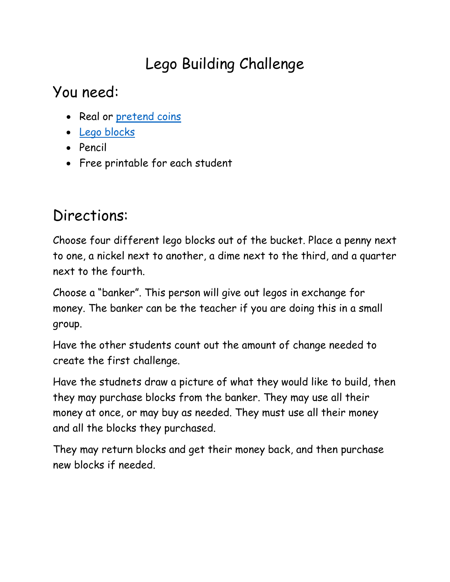# Lego Building Challenge

You need:

- Real or [pretend coins](http://amzn.to/1PdNHap)
- [Lego blocks](http://amzn.to/1PdOurX)
- Pencil
- Free printable for each student

#### Directions:

Choose four different lego blocks out of the bucket. Place a penny next to one, a nickel next to another, a dime next to the third, and a quarter next to the fourth.

Choose a "banker". This person will give out legos in exchange for money. The banker can be the teacher if you are doing this in a small group.

Have the other students count out the amount of change needed to create the first challenge.

Have the studnets draw a picture of what they would like to build, then they may purchase blocks from the banker. They may use all their money at once, or may buy as needed. They must use all their money and all the blocks they purchased.

They may return blocks and get their money back, and then purchase new blocks if needed.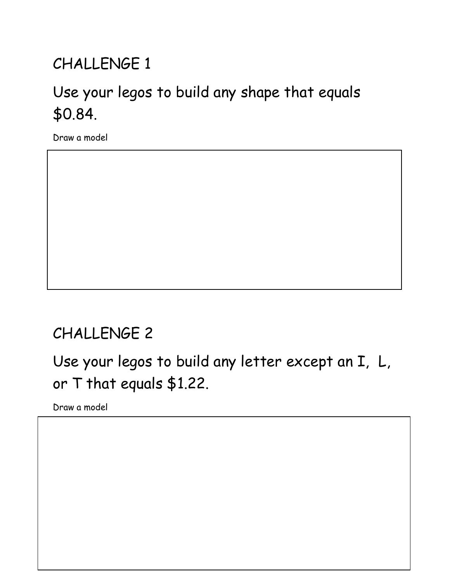# CHALLENGE 1

## Use your legos to build any shape that equals \$0.84.

Draw a model

### CHALLENGE 2

Use your legos to build any letter except an I, L, or T that equals \$1.22.

Draw a model